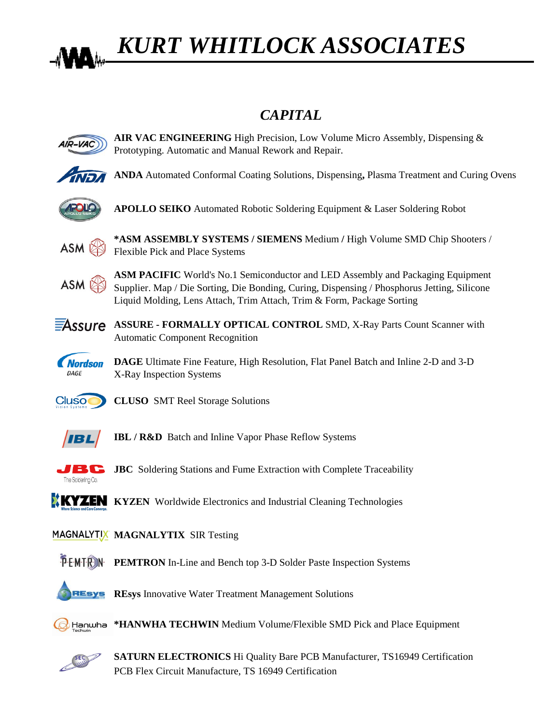

## *KURT WHITLOCK ASSOCIATES*

## *CAPITAL*